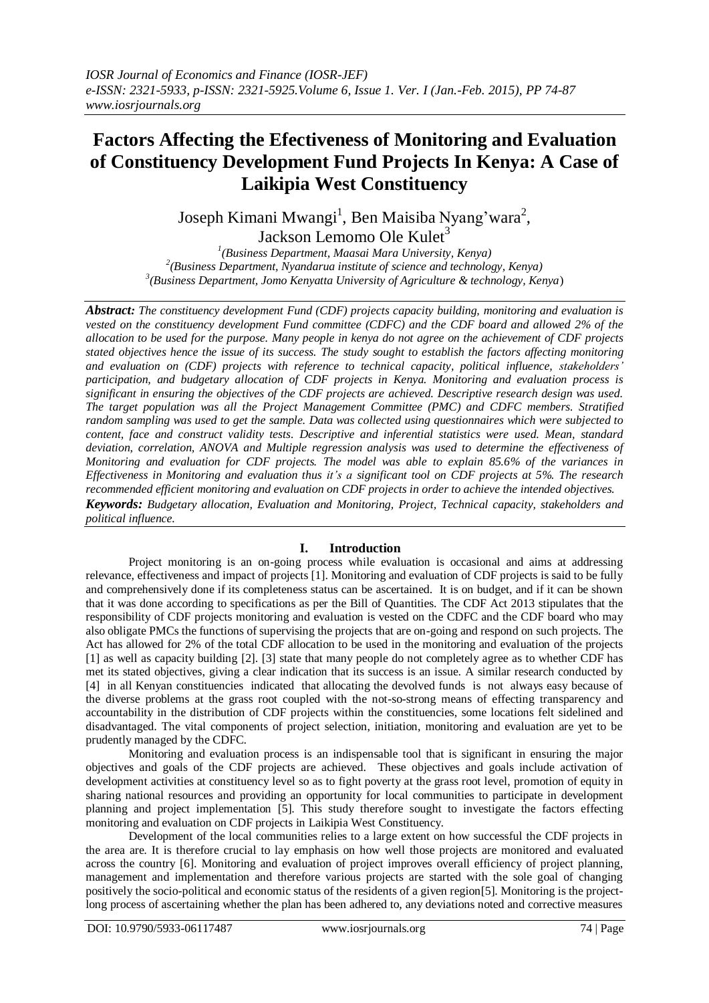# **Factors Affecting the Efectiveness of Monitoring and Evaluation of Constituency Development Fund Projects In Kenya: A Case of Laikipia West Constituency**

Joseph Kimani Mwangi<sup>1</sup>, Ben Maisiba Nyang'wara<sup>2</sup>, Jackson Lemomo Ole Kulet<sup>3</sup>

*1 (Business Department, Maasai Mara University, Kenya) 2 (Business Department, Nyandarua institute of science and technology, Kenya) 3 (Business Department, Jomo Kenyatta University of Agriculture & technology, Kenya*)

*Abstract: The constituency development Fund (CDF) projects capacity building, monitoring and evaluation is vested on the constituency development Fund committee (CDFC) and the CDF board and allowed 2% of the allocation to be used for the purpose. Many people in kenya do not agree on the achievement of CDF projects stated objectives hence the issue of its success. The study sought to establish the factors affecting monitoring and evaluation on (CDF) projects with reference to technical capacity, political influence, stakeholders' participation, and budgetary allocation of CDF projects in Kenya. Monitoring and evaluation process is significant in ensuring the objectives of the CDF projects are achieved. Descriptive research design was used. The target population was all the Project Management Committee (PMC) and CDFC members. Stratified random sampling was used to get the sample. Data was collected using questionnaires which were subjected to content, face and construct validity tests. Descriptive and inferential statistics were used. Mean, standard deviation, correlation, ANOVA and Multiple regression analysis was used to determine the effectiveness of Monitoring and evaluation for CDF projects. The model was able to explain 85.6% of the variances in Effectiveness in Monitoring and evaluation thus it's a significant tool on CDF projects at 5%. The research recommended efficient monitoring and evaluation on CDF projects in order to achieve the intended objectives. Keywords: Budgetary allocation, Evaluation and Monitoring, Project, Technical capacity, stakeholders and political influence.*

# **I. Introduction**

Project monitoring is an on-going process while evaluation is occasional and aims at addressing relevance, effectiveness and impact of projects [1]. Monitoring and evaluation of CDF projects is said to be fully and comprehensively done if its completeness status can be ascertained. It is on budget, and if it can be shown that it was done according to specifications as per the Bill of Quantities. The CDF Act 2013 stipulates that the responsibility of CDF projects monitoring and evaluation is vested on the CDFC and the CDF board who may also obligate PMCs the functions of supervising the projects that are on-going and respond on such projects. The Act has allowed for 2% of the total CDF allocation to be used in the monitoring and evaluation of the projects [1] as well as capacity building [2]. [3] state that many people do not completely agree as to whether CDF has met its stated objectives, giving a clear indication that its success is an issue. A similar research conducted by [4] in all Kenyan constituencies indicated that allocating the devolved funds is not always easy because of the diverse problems at the grass root coupled with the not-so-strong means of effecting transparency and accountability in the distribution of CDF projects within the constituencies, some locations felt sidelined and disadvantaged. The vital components of project selection, initiation, monitoring and evaluation are yet to be prudently managed by the CDFC.

Monitoring and evaluation process is an indispensable tool that is significant in ensuring the major objectives and goals of the CDF projects are achieved. These objectives and goals include activation of development activities at constituency level so as to fight poverty at the grass root level, promotion of equity in sharing national resources and providing an opportunity for local communities to participate in development planning and project implementation [5]. This study therefore sought to investigate the factors effecting monitoring and evaluation on CDF projects in Laikipia West Constituency.

Development of the local communities relies to a large extent on how successful the CDF projects in the area are. It is therefore crucial to lay emphasis on how well those projects are monitored and evaluated across the country [6]. Monitoring and evaluation of project improves overall efficiency of project planning, management and implementation and therefore various projects are started with the sole goal of changing positively the socio-political and economic status of the residents of a given region[5]. Monitoring is the projectlong process of ascertaining whether the plan has been adhered to, any deviations noted and corrective measures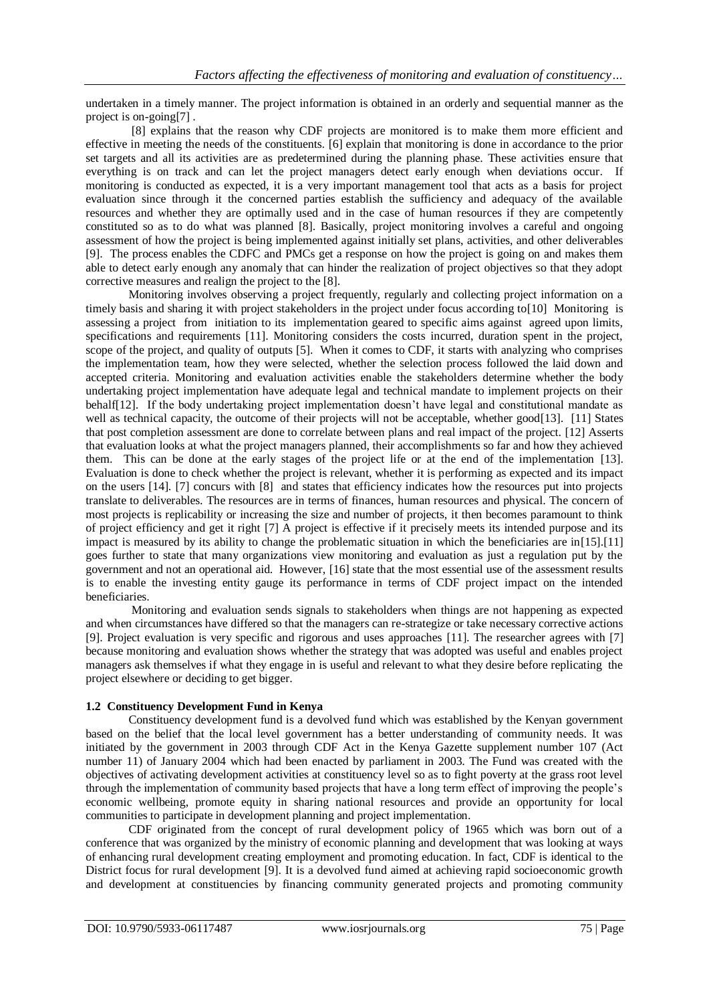undertaken in a timely manner. The project information is obtained in an orderly and sequential manner as the project is on-going[7] .

[8] explains that the reason why CDF projects are monitored is to make them more efficient and effective in meeting the needs of the constituents. [6] explain that monitoring is done in accordance to the prior set targets and all its activities are as predetermined during the planning phase. These activities ensure that everything is on track and can let the project managers detect early enough when deviations occur. If monitoring is conducted as expected, it is a very important management tool that acts as a basis for project evaluation since through it the concerned parties establish the sufficiency and adequacy of the available resources and whether they are optimally used and in the case of human resources if they are competently constituted so as to do what was planned [8]. Basically, project monitoring involves a careful and ongoing assessment of how the project is being implemented against initially set plans, activities, and other deliverables [9]. The process enables the CDFC and PMCs get a response on how the project is going on and makes them able to detect early enough any anomaly that can hinder the realization of project objectives so that they adopt corrective measures and realign the project to the [8].

Monitoring involves observing a project frequently, regularly and collecting project information on a timely basis and sharing it with project stakeholders in the project under focus according to[10] Monitoring is assessing a project from initiation to its implementation geared to specific aims against agreed upon limits, specifications and requirements [11]. Monitoring considers the costs incurred, duration spent in the project, scope of the project, and quality of outputs [5]. When it comes to CDF, it starts with analyzing who comprises the implementation team, how they were selected, whether the selection process followed the laid down and accepted criteria. Monitoring and evaluation activities enable the stakeholders determine whether the body undertaking project implementation have adequate legal and technical mandate to implement projects on their behalf[12]. If the body undertaking project implementation doesn't have legal and constitutional mandate as well as technical capacity, the outcome of their projects will not be acceptable, whether good[13]. [11] States that post completion assessment are done to correlate between plans and real impact of the project. [12] Asserts that evaluation looks at what the project managers planned, their accomplishments so far and how they achieved them. This can be done at the early stages of the project life or at the end of the implementation [13]. Evaluation is done to check whether the project is relevant, whether it is performing as expected and its impact on the users [14]. [7] concurs with [8] and states that efficiency indicates how the resources put into projects translate to deliverables. The resources are in terms of finances, human resources and physical. The concern of most projects is replicability or increasing the size and number of projects, it then becomes paramount to think of project efficiency and get it right [7] A project is effective if it precisely meets its intended purpose and its impact is measured by its ability to change the problematic situation in which the beneficiaries are in[15].[11] goes further to state that many organizations view monitoring and evaluation as just a regulation put by the government and not an operational aid. However, [16] state that the most essential use of the assessment results is to enable the investing entity gauge its performance in terms of CDF project impact on the intended beneficiaries.

Monitoring and evaluation sends signals to stakeholders when things are not happening as expected and when circumstances have differed so that the managers can re-strategize or take necessary corrective actions [9]. Project evaluation is very specific and rigorous and uses approaches [11]. The researcher agrees with [7] because monitoring and evaluation shows whether the strategy that was adopted was useful and enables project managers ask themselves if what they engage in is useful and relevant to what they desire before replicating the project elsewhere or deciding to get bigger.

# **1.2 Constituency Development Fund in Kenya**

Constituency development fund is a devolved fund which was established by the Kenyan government based on the belief that the local level government has a better understanding of community needs. It was initiated by the government in 2003 through CDF Act in the Kenya Gazette supplement number 107 (Act number 11) of January 2004 which had been enacted by parliament in 2003. The Fund was created with the objectives of activating development activities at constituency level so as to fight poverty at the grass root level through the implementation of community based projects that have a long term effect of improving the people's economic wellbeing, promote equity in sharing national resources and provide an opportunity for local communities to participate in development planning and project implementation.

CDF originated from the concept of rural development policy of 1965 which was born out of a conference that was organized by the ministry of economic planning and development that was looking at ways of enhancing rural development creating employment and promoting education. In fact, CDF is identical to the District focus for rural development [9]. It is a devolved fund aimed at achieving rapid socioeconomic growth and development at constituencies by financing community generated projects and promoting community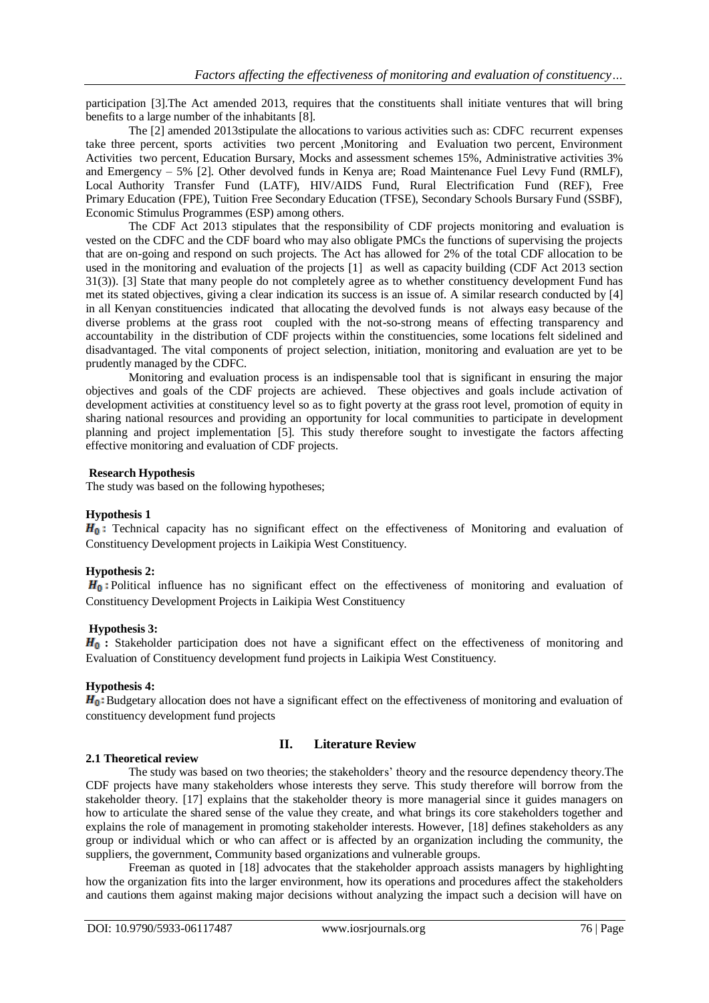participation [3].The Act amended 2013, requires that the constituents shall initiate ventures that will bring benefits to a large number of the inhabitants [8].

The [2] amended 2013stipulate the allocations to various activities such as: CDFC recurrent expenses take three percent, sports activities two percent ,Monitoring and Evaluation two percent, Environment Activities two percent, Education Bursary, Mocks and assessment schemes 15%, Administrative activities 3% and Emergency – 5% [2]. Other devolved funds in Kenya are; Road Maintenance Fuel Levy Fund (RMLF), Local Authority Transfer Fund (LATF), HIV/AIDS Fund, Rural Electrification Fund (REF), Free Primary Education (FPE), Tuition Free Secondary Education (TFSE), Secondary Schools Bursary Fund (SSBF), Economic Stimulus Programmes (ESP) among others.

The CDF Act 2013 stipulates that the responsibility of CDF projects monitoring and evaluation is vested on the CDFC and the CDF board who may also obligate PMCs the functions of supervising the projects that are on-going and respond on such projects. The Act has allowed for 2% of the total CDF allocation to be used in the monitoring and evaluation of the projects [1] as well as capacity building (CDF Act 2013 section 31(3)). [3] State that many people do not completely agree as to whether constituency development Fund has met its stated objectives, giving a clear indication its success is an issue of. A similar research conducted by [4] in all Kenyan constituencies indicated that allocating the devolved funds is not always easy because of the diverse problems at the grass root coupled with the not-so-strong means of effecting transparency and accountability in the distribution of CDF projects within the constituencies, some locations felt sidelined and disadvantaged. The vital components of project selection, initiation, monitoring and evaluation are yet to be prudently managed by the CDFC.

Monitoring and evaluation process is an indispensable tool that is significant in ensuring the major objectives and goals of the CDF projects are achieved. These objectives and goals include activation of development activities at constituency level so as to fight poverty at the grass root level, promotion of equity in sharing national resources and providing an opportunity for local communities to participate in development planning and project implementation [5]. This study therefore sought to investigate the factors affecting effective monitoring and evaluation of CDF projects.

# **Research Hypothesis**

The study was based on the following hypotheses;

### **Hypothesis 1**

 $H_0$ : Technical capacity has no significant effect on the effectiveness of Monitoring and evaluation of Constituency Development projects in Laikipia West Constituency.

### **Hypothesis 2:**

 $H_0$ : Political influence has no significant effect on the effectiveness of monitoring and evaluation of Constituency Development Projects in Laikipia West Constituency

# **Hypothesis 3:**

 $H_0$ **:** Stakeholder participation does not have a significant effect on the effectiveness of monitoring and Evaluation of Constituency development fund projects in Laikipia West Constituency.

# **Hypothesis 4:**

 $H_0$ . Budgetary allocation does not have a significant effect on the effectiveness of monitoring and evaluation of constituency development fund projects

# **II. Literature Review**

### **2.1 Theoretical review**

The study was based on two theories; the stakeholders' theory and the resource dependency theory.The CDF projects have many stakeholders whose interests they serve. This study therefore will borrow from the stakeholder theory. [17] explains that the stakeholder theory is more managerial since it guides managers on how to articulate the shared sense of the value they create, and what brings its core stakeholders together and explains the role of management in promoting stakeholder interests. However, [18] defines stakeholders as any group or individual which or who can affect or is affected by an organization including the community, the suppliers, the government, Community based organizations and vulnerable groups.

Freeman as quoted in [18] advocates that the stakeholder approach assists managers by highlighting how the organization fits into the larger environment, how its operations and procedures affect the stakeholders and cautions them against making major decisions without analyzing the impact such a decision will have on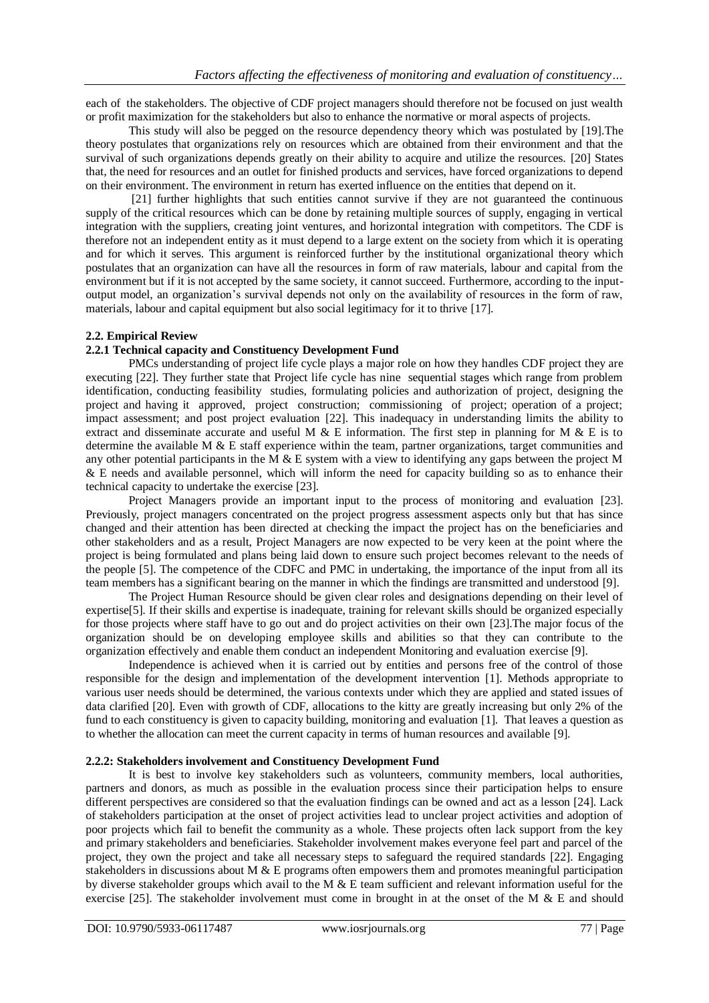each of the stakeholders. The objective of CDF project managers should therefore not be focused on just wealth or profit maximization for the stakeholders but also to enhance the normative or moral aspects of projects.

This study will also be pegged on the resource dependency theory which was postulated by [19].The theory postulates that organizations rely on resources which are obtained from their environment and that the survival of such organizations depends greatly on their ability to acquire and utilize the resources. [20] States that, the need for resources and an outlet for finished products and services, have forced organizations to depend on their environment. The environment in return has exerted influence on the entities that depend on it.

[21] further highlights that such entities cannot survive if they are not guaranteed the continuous supply of the critical resources which can be done by retaining multiple sources of supply, engaging in vertical integration with the suppliers, creating joint ventures, and horizontal integration with competitors. The CDF is therefore not an independent entity as it must depend to a large extent on the society from which it is operating and for which it serves. This argument is reinforced further by the institutional organizational theory which postulates that an organization can have all the resources in form of raw materials, labour and capital from the environment but if it is not accepted by the same society, it cannot succeed. Furthermore, according to the inputoutput model, an organization's survival depends not only on the availability of resources in the form of raw, materials, labour and capital equipment but also social legitimacy for it to thrive [17].

# **2.2. Empirical Review**

### **2.2.1 Technical capacity and Constituency Development Fund**

PMCs understanding of project life cycle plays a major role on how they handles CDF project they are executing [22]. They further state that Project life cycle has nine sequential stages which range from problem identification, conducting feasibility studies, formulating policies and authorization of project, designing the project and having it approved, project construction; commissioning of project; operation of a project; impact assessment; and post project evaluation [22]. This inadequacy in understanding limits the ability to extract and disseminate accurate and useful M & E information. The first step in planning for M & E is to determine the available M & E staff experience within the team, partner organizations, target communities and any other potential participants in the M  $\&$  E system with a view to identifying any gaps between the project M & E needs and available personnel, which will inform the need for capacity building so as to enhance their technical capacity to undertake the exercise [23].

Project Managers provide an important input to the process of monitoring and evaluation [23]. Previously, project managers concentrated on the project progress assessment aspects only but that has since changed and their attention has been directed at checking the impact the project has on the beneficiaries and other stakeholders and as a result, Project Managers are now expected to be very keen at the point where the project is being formulated and plans being laid down to ensure such project becomes relevant to the needs of the people [5]. The competence of the CDFC and PMC in undertaking, the importance of the input from all its team members has a significant bearing on the manner in which the findings are transmitted and understood [9].

The Project Human Resource should be given clear roles and designations depending on their level of expertise[5]. If their skills and expertise is inadequate, training for relevant skills should be organized especially for those projects where staff have to go out and do project activities on their own [23].The major focus of the organization should be on developing employee skills and abilities so that they can contribute to the organization effectively and enable them conduct an independent Monitoring and evaluation exercise [9].

Independence is achieved when it is carried out by entities and persons free of the control of those responsible for the design and implementation of the development intervention [1]. Methods appropriate to various user needs should be determined, the various contexts under which they are applied and stated issues of data clarified [20]. Even with growth of CDF, allocations to the kitty are greatly increasing but only 2% of the fund to each constituency is given to capacity building, monitoring and evaluation [1]. That leaves a question as to whether the allocation can meet the current capacity in terms of human resources and available [9].

### **2.2.2: Stakeholders involvement and Constituency Development Fund**

It is best to involve key stakeholders such as volunteers, community members, local authorities, partners and donors, as much as possible in the evaluation process since their participation helps to ensure different perspectives are considered so that the evaluation findings can be owned and act as a lesson [24]. Lack of stakeholders participation at the onset of project activities lead to unclear project activities and adoption of poor projects which fail to benefit the community as a whole. These projects often lack support from the key and primary stakeholders and beneficiaries. Stakeholder involvement makes everyone feel part and parcel of the project, they own the project and take all necessary steps to safeguard the required standards [22]. Engaging stakeholders in discussions about M  $\&$  E programs often empowers them and promotes meaningful participation by diverse stakeholder groups which avail to the M  $\&$  E team sufficient and relevant information useful for the exercise [25]. The stakeholder involvement must come in brought in at the onset of the M & E and should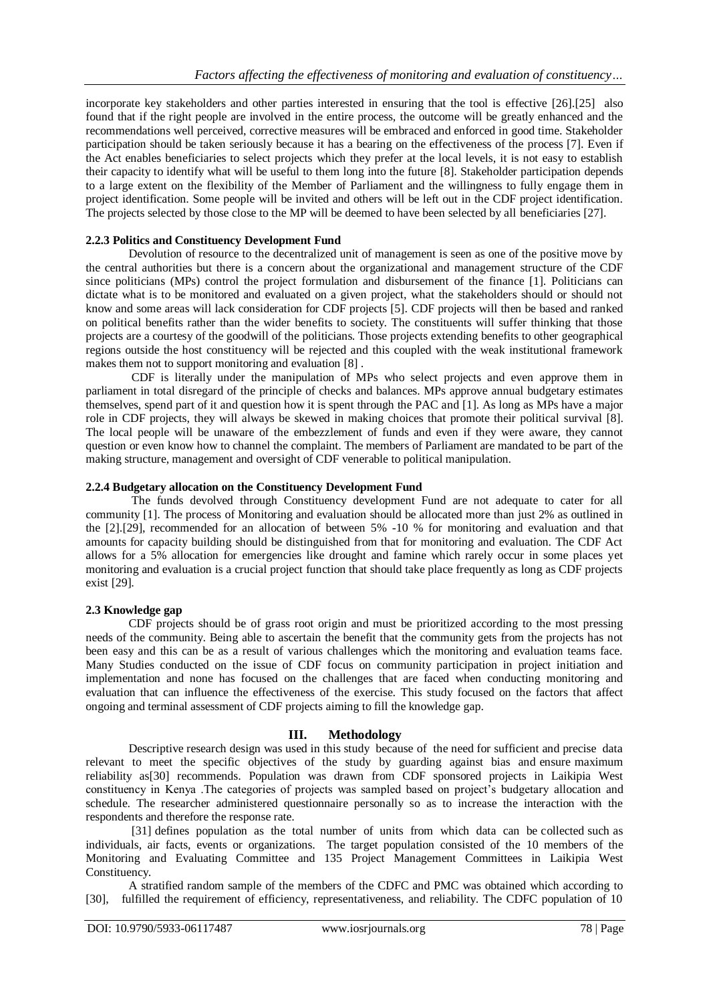incorporate key stakeholders and other parties interested in ensuring that the tool is effective [26].[25] also found that if the right people are involved in the entire process, the outcome will be greatly enhanced and the recommendations well perceived, corrective measures will be embraced and enforced in good time. Stakeholder participation should be taken seriously because it has a bearing on the effectiveness of the process [7]. Even if the Act enables beneficiaries to select projects which they prefer at the local levels, it is not easy to establish their capacity to identify what will be useful to them long into the future [8]. Stakeholder participation depends to a large extent on the flexibility of the Member of Parliament and the willingness to fully engage them in project identification. Some people will be invited and others will be left out in the CDF project identification. The projects selected by those close to the MP will be deemed to have been selected by all beneficiaries [27].

# **2.2.3 Politics and Constituency Development Fund**

Devolution of resource to the decentralized unit of management is seen as one of the positive move by the central authorities but there is a concern about the organizational and management structure of the CDF since politicians (MPs) control the project formulation and disbursement of the finance [1]. Politicians can dictate what is to be monitored and evaluated on a given project, what the stakeholders should or should not know and some areas will lack consideration for CDF projects [5]. CDF projects will then be based and ranked on political benefits rather than the wider benefits to society. The constituents will suffer thinking that those projects are a courtesy of the goodwill of the politicians. Those projects extending benefits to other geographical regions outside the host constituency will be rejected and this coupled with the weak institutional framework makes them not to support monitoring and evaluation [8] .

CDF is literally under the manipulation of MPs who select projects and even approve them in parliament in total disregard of the principle of checks and balances. MPs approve annual budgetary estimates themselves, spend part of it and question how it is spent through the PAC and [1]. As long as MPs have a major role in CDF projects, they will always be skewed in making choices that promote their political survival [8]. The local people will be unaware of the embezzlement of funds and even if they were aware, they cannot question or even know how to channel the complaint. The members of Parliament are mandated to be part of the making structure, management and oversight of CDF venerable to political manipulation.

# **2.2.4 Budgetary allocation on the Constituency Development Fund**

The funds devolved through Constituency development Fund are not adequate to cater for all community [1]. The process of Monitoring and evaluation should be allocated more than just 2% as outlined in the [2].[29], recommended for an allocation of between 5% -10 % for monitoring and evaluation and that amounts for capacity building should be distinguished from that for monitoring and evaluation. The CDF Act allows for a 5% allocation for emergencies like drought and famine which rarely occur in some places yet monitoring and evaluation is a crucial project function that should take place frequently as long as CDF projects exist [29].

### **2.3 Knowledge gap**

CDF projects should be of grass root origin and must be prioritized according to the most pressing needs of the community. Being able to ascertain the benefit that the community gets from the projects has not been easy and this can be as a result of various challenges which the monitoring and evaluation teams face. Many Studies conducted on the issue of CDF focus on community participation in project initiation and implementation and none has focused on the challenges that are faced when conducting monitoring and evaluation that can influence the effectiveness of the exercise. This study focused on the factors that affect ongoing and terminal assessment of CDF projects aiming to fill the knowledge gap.

# **III. Methodology**

Descriptive research design was used in this study because of the need for sufficient and precise data relevant to meet the specific objectives of the study by guarding against bias and ensure maximum reliability as[30] recommends. Population was drawn from CDF sponsored projects in Laikipia West constituency in Kenya .The categories of projects was sampled based on project's budgetary allocation and schedule. The researcher administered questionnaire personally so as to increase the interaction with the respondents and therefore the response rate.

[31] defines population as the total number of units from which data can be collected such as individuals, air facts, events or organizations. The target population consisted of the 10 members of the Monitoring and Evaluating Committee and 135 Project Management Committees in Laikipia West Constituency.

A stratified random sample of the members of the CDFC and PMC was obtained which according to [30], fulfilled the requirement of efficiency, representativeness, and reliability. The CDFC population of 10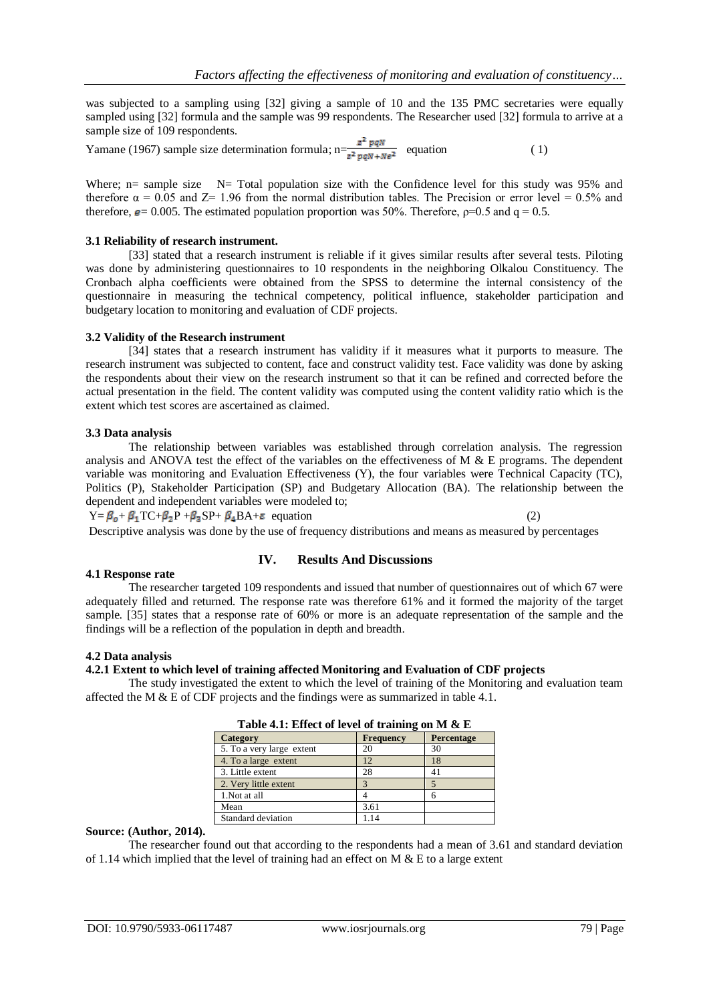was subjected to a sampling using [32] giving a sample of 10 and the 135 PMC secretaries were equally sampled using [32] formula and the sample was 99 respondents. The Researcher used [32] formula to arrive at a sample size of 109 respondents.

Yamane (1967) sample size determination formula;  $n=\frac{z^2 pqN}{z^2 n qN + N\epsilon^2}$  equation (1)

Where; n= sample size  $N=$  Total population size with the Confidence level for this study was 95% and therefore  $\alpha = 0.05$  and  $Z = 1.96$  from the normal distribution tables. The Precision or error level = 0.5% and therefore,  $\mathbf{e} = 0.005$ . The estimated population proportion was 50%. Therefore,  $\rho$ =0.5 and q = 0.5.

### **3.1 Reliability of research instrument.**

[33] stated that a research instrument is reliable if it gives similar results after several tests. Piloting was done by administering questionnaires to 10 respondents in the neighboring Olkalou Constituency. The Cronbach alpha coefficients were obtained from the SPSS to determine the internal consistency of the questionnaire in measuring the technical competency, political influence, stakeholder participation and budgetary location to monitoring and evaluation of CDF projects.

### **3.2 Validity of the Research instrument**

[34] states that a research instrument has validity if it measures what it purports to measure. The research instrument was subjected to content, face and construct validity test. Face validity was done by asking the respondents about their view on the research instrument so that it can be refined and corrected before the actual presentation in the field. The content validity was computed using the content validity ratio which is the extent which test scores are ascertained as claimed.

### **3.3 Data analysis**

The relationship between variables was established through correlation analysis. The regression analysis and ANOVA test the effect of the variables on the effectiveness of M & E programs. The dependent variable was monitoring and Evaluation Effectiveness (Y), the four variables were Technical Capacity (TC), Politics (P), Stakeholder Participation (SP) and Budgetary Allocation (BA). The relationship between the dependent and independent variables were modeled to;

 $Y = \beta_0 + \beta_1 T C + \beta_2 P + \beta_3 SP + \beta_4 BA + \epsilon$  equation (2)

Descriptive analysis was done by the use of frequency distributions and means as measured by percentages

### **4.1 Response rate**

### **IV. Results And Discussions**

The researcher targeted 109 respondents and issued that number of questionnaires out of which 67 were adequately filled and returned. The response rate was therefore 61% and it formed the majority of the target sample. [35] states that a response rate of 60% or more is an adequate representation of the sample and the findings will be a reflection of the population in depth and breadth.

### **4.2 Data analysis**

# **4.2.1 Extent to which level of training affected Monitoring and Evaluation of CDF projects**

The study investigated the extent to which the level of training of the Monitoring and evaluation team affected the M & E of CDF projects and the findings were as summarized in table 4.1.

| <b>Table 4.1.</b> Effect of level of training on M & E |           |            |  |  |
|--------------------------------------------------------|-----------|------------|--|--|
| Category                                               | Frequency | Percentage |  |  |
| 5. To a very large extent                              | 20        | 30         |  |  |
| 4. To a large extent                                   | 12        | 18         |  |  |
| 3. Little extent                                       | 28        | 41         |  |  |
| 2. Very little extent                                  |           |            |  |  |
| 1. Not at all                                          |           | 6          |  |  |
| Mean                                                   | 3.61      |            |  |  |
| Standard deviation                                     | 1.14      |            |  |  |

| Table 4.1: Effect of level of training on M & E |  |
|-------------------------------------------------|--|
|-------------------------------------------------|--|

#### **Source: (Author, 2014).**

The researcher found out that according to the respondents had a mean of 3.61 and standard deviation of 1.14 which implied that the level of training had an effect on M  $\&$  E to a large extent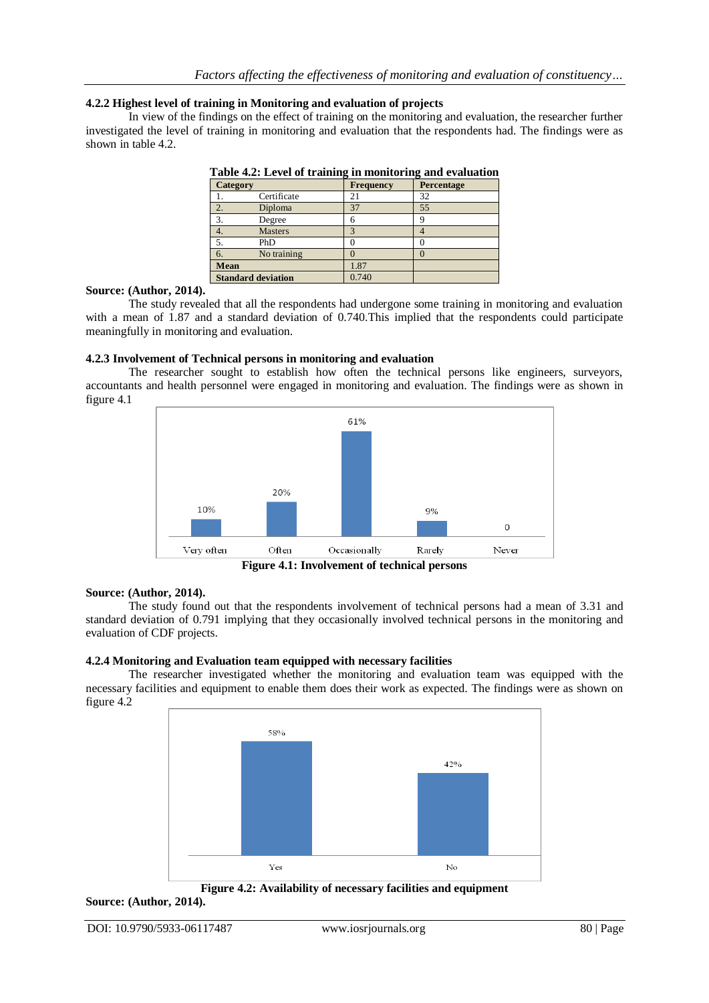# **4.2.2 Highest level of training in Monitoring and evaluation of projects**

In view of the findings on the effect of training on the monitoring and evaluation, the researcher further investigated the level of training in monitoring and evaluation that the respondents had. The findings were as shown in table 4.2.

| <b>Category</b> |                           | <b>Frequency</b> | Percentage |
|-----------------|---------------------------|------------------|------------|
|                 | Certificate               |                  | 32         |
| 2.              | Diploma                   | 37               | 55         |
|                 | Degree                    | h                | o          |
| 4.              | <b>Masters</b>            |                  |            |
|                 | PhD                       |                  |            |
| 6.              | No training               |                  |            |
| Mean            |                           | 1.87             |            |
|                 | <b>Standard deviation</b> | 0.740            |            |

|  | Table 4.2: Level of training in monitoring and evaluation |  |
|--|-----------------------------------------------------------|--|
|  |                                                           |  |

### **Source: (Author, 2014).**

The study revealed that all the respondents had undergone some training in monitoring and evaluation with a mean of 1.87 and a standard deviation of 0.740.This implied that the respondents could participate meaningfully in monitoring and evaluation.

# **4.2.3 Involvement of Technical persons in monitoring and evaluation**

The researcher sought to establish how often the technical persons like engineers, surveyors, accountants and health personnel were engaged in monitoring and evaluation. The findings were as shown in figure 4.1



**Figure 4.1: Involvement of technical persons**

### **Source: (Author, 2014).**

The study found out that the respondents involvement of technical persons had a mean of 3.31 and standard deviation of 0.791 implying that they occasionally involved technical persons in the monitoring and evaluation of CDF projects.

### **4.2.4 Monitoring and Evaluation team equipped with necessary facilities**

The researcher investigated whether the monitoring and evaluation team was equipped with the necessary facilities and equipment to enable them does their work as expected. The findings were as shown on figure 4.2



**Figure 4.2: Availability of necessary facilities and equipment**

### **Source: (Author, 2014).**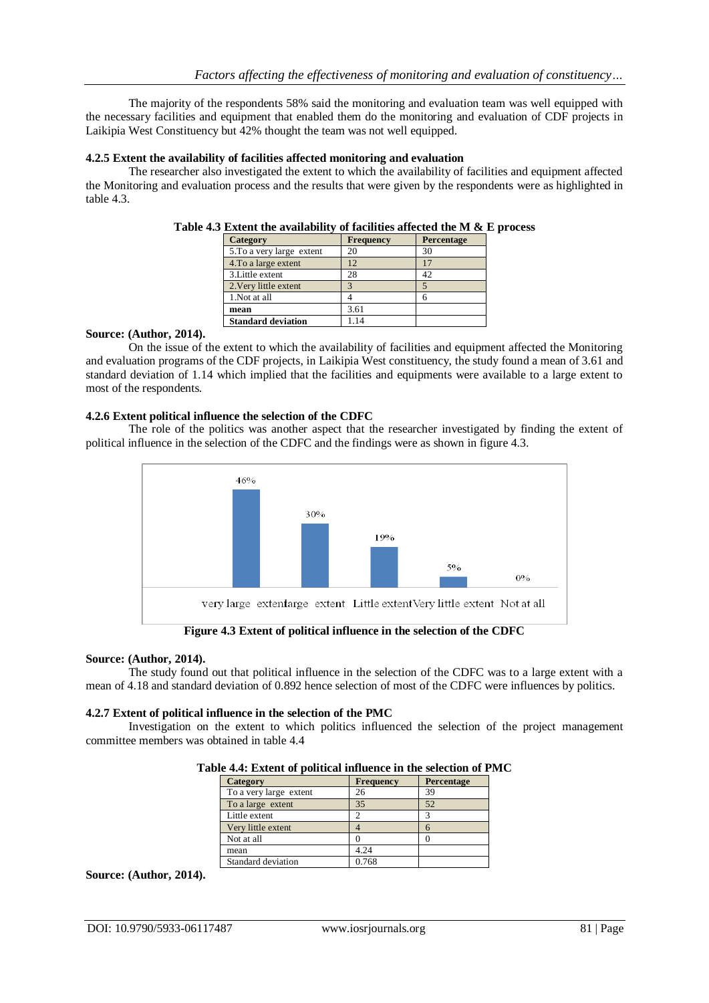The majority of the respondents 58% said the monitoring and evaluation team was well equipped with the necessary facilities and equipment that enabled them do the monitoring and evaluation of CDF projects in Laikipia West Constituency but 42% thought the team was not well equipped.

### **4.2.5 Extent the availability of facilities affected monitoring and evaluation**

The researcher also investigated the extent to which the availability of facilities and equipment affected the Monitoring and evaluation process and the results that were given by the respondents were as highlighted in table 4.3.

| Category                  | Frequency | <b>Percentage</b> |
|---------------------------|-----------|-------------------|
| 5. To a very large extent | 20        | 30                |
| 4. To a large extent      | 12        | 17                |
| 3. Little extent          | 28        | 42                |
| 2. Very little extent     |           |                   |
| 1. Not at all             |           |                   |
| mean                      | 3.61      |                   |
| <b>Standard deviation</b> | 1.14      |                   |

|  |  | Table 4.3 Extent the availability of facilities affected the M $\&$ E process |  |  |  |  |
|--|--|-------------------------------------------------------------------------------|--|--|--|--|
|--|--|-------------------------------------------------------------------------------|--|--|--|--|

### **Source: (Author, 2014).**

On the issue of the extent to which the availability of facilities and equipment affected the Monitoring and evaluation programs of the CDF projects, in Laikipia West constituency, the study found a mean of 3.61 and standard deviation of 1.14 which implied that the facilities and equipments were available to a large extent to most of the respondents.

# **4.2.6 Extent political influence the selection of the CDFC**

The role of the politics was another aspect that the researcher investigated by finding the extent of political influence in the selection of the CDFC and the findings were as shown in figure 4.3.



**Figure 4.3 Extent of political influence in the selection of the CDFC**

### **Source: (Author, 2014).**

The study found out that political influence in the selection of the CDFC was to a large extent with a mean of 4.18 and standard deviation of 0.892 hence selection of most of the CDFC were influences by politics.

### **4.2.7 Extent of political influence in the selection of the PMC**

Investigation on the extent to which politics influenced the selection of the project management committee members was obtained in table 4.4

| <b>Frequency</b> | Percentage |
|------------------|------------|
| 26               | 39         |
| 35               | 52         |
|                  |            |
|                  |            |
|                  |            |
| 4.24             |            |
| 0.768            |            |
|                  |            |

### **Table 4.4: Extent of political influence in the selection of PMC**

# **Source: (Author, 2014).**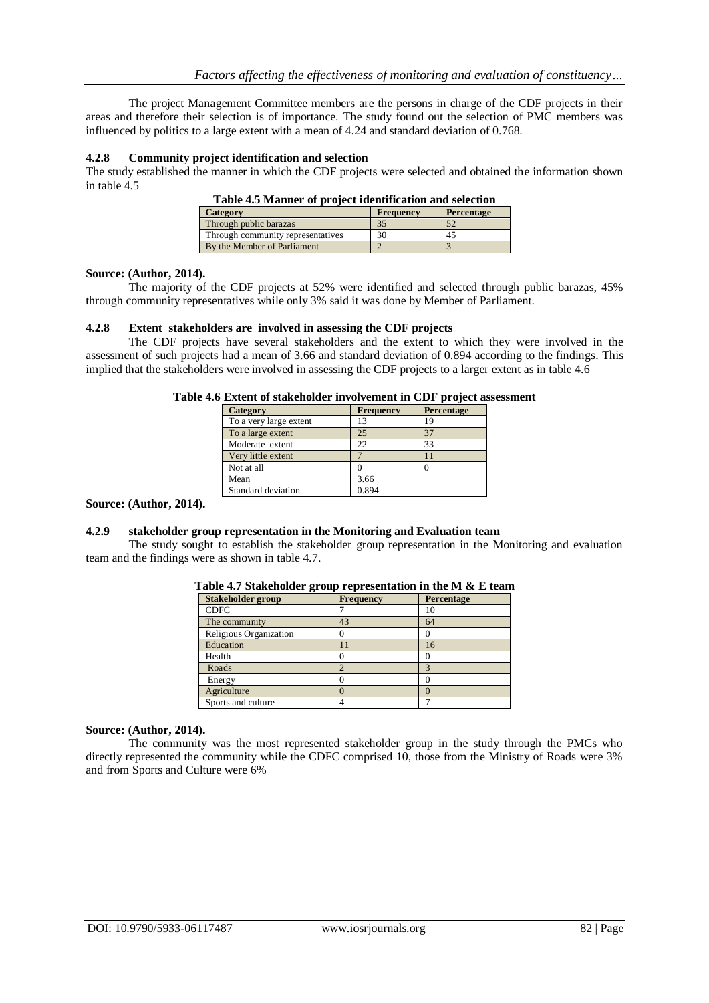The project Management Committee members are the persons in charge of the CDF projects in their areas and therefore their selection is of importance. The study found out the selection of PMC members was influenced by politics to a large extent with a mean of 4.24 and standard deviation of 0.768.

### **4.2.8 Community project identification and selection**

The study established the manner in which the CDF projects were selected and obtained the information shown in table 4.5

| Category                          | <b>Frequency</b> | <b>Percentage</b> |
|-----------------------------------|------------------|-------------------|
| Through public barazas            | 35               | 52                |
| Through community representatives | 30               | 45                |
| By the Member of Parliament       |                  |                   |

# **Table 4.5 Manner of project identification and selection**

### **Source: (Author, 2014).**

The majority of the CDF projects at 52% were identified and selected through public barazas, 45% through community representatives while only 3% said it was done by Member of Parliament.

### **4.2.8 Extent stakeholders are involved in assessing the CDF projects**

The CDF projects have several stakeholders and the extent to which they were involved in the assessment of such projects had a mean of 3.66 and standard deviation of 0.894 according to the findings. This implied that the stakeholders were involved in assessing the CDF projects to a larger extent as in table 4.6

| <b>Category</b>        | <b>Frequency</b> | Percentage |
|------------------------|------------------|------------|
| To a very large extent | 13               | 19         |
| To a large extent      | 25               | 37         |
| Moderate extent        | 22               | 33         |
| Very little extent     |                  |            |
| Not at all             |                  |            |
| Mean                   | 3.66             |            |
| Standard deviation     | 0.894            |            |

### **Table 4.6 Extent of stakeholder involvement in CDF project assessment**

#### **Source: (Author, 2014).**

### **4.2.9 stakeholder group representation in the Monitoring and Evaluation team**

The study sought to establish the stakeholder group representation in the Monitoring and evaluation team and the findings were as shown in table 4.7.

| <b>Stakeholder group</b> | Frequency | Percentage |
|--------------------------|-----------|------------|
| <b>CDFC</b>              |           | 10         |
| The community            | 43        | 64         |
| Religious Organization   |           |            |
| Education                |           | 16         |
| Health                   |           |            |
| Roads                    |           |            |
| Energy                   |           |            |
| Agriculture              |           |            |
| Sports and culture       |           |            |

### **Table 4.7 Stakeholder group representation in the M & E team**

### **Source: (Author, 2014).**

The community was the most represented stakeholder group in the study through the PMCs who directly represented the community while the CDFC comprised 10, those from the Ministry of Roads were 3% and from Sports and Culture were 6%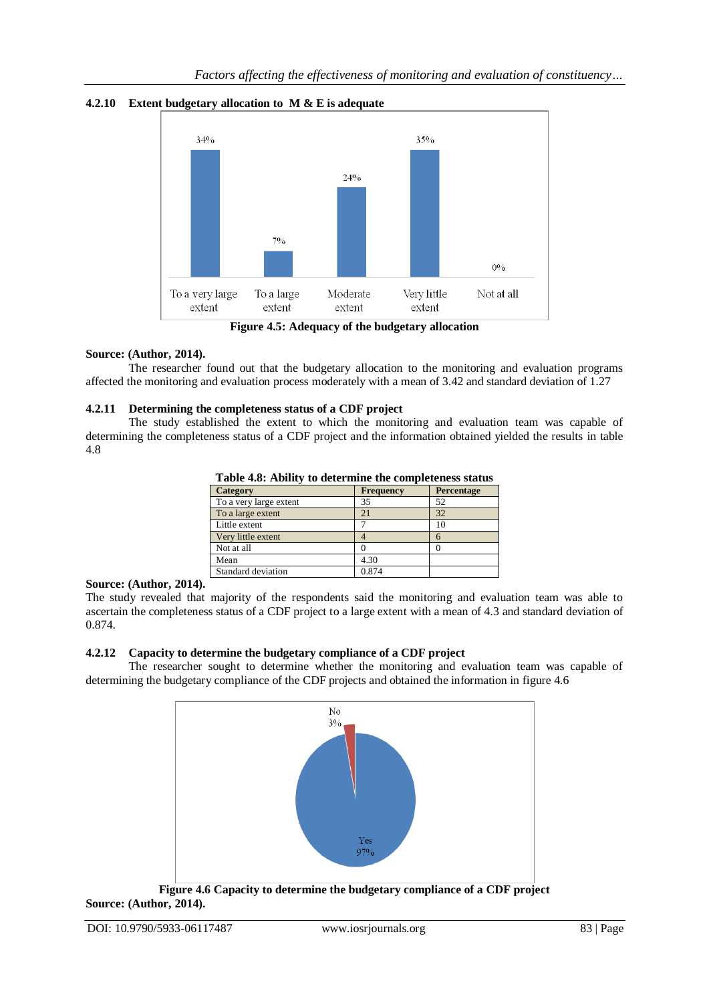



# **Source: (Author, 2014).**

The researcher found out that the budgetary allocation to the monitoring and evaluation programs affected the monitoring and evaluation process moderately with a mean of 3.42 and standard deviation of 1.27

# **4.2.11 Determining the completeness status of a CDF project**

The study established the extent to which the monitoring and evaluation team was capable of determining the completeness status of a CDF project and the information obtained yielded the results in table 4.8

| Table 7.0. Ability to acternance the completeness status |                  |            |  |
|----------------------------------------------------------|------------------|------------|--|
| <b>Category</b>                                          | <b>Frequency</b> | Percentage |  |
| To a very large extent                                   | 35               | 52         |  |
| To a large extent                                        | 21               | 32         |  |
| Little extent                                            |                  | 10         |  |
| Very little extent                                       |                  | 6          |  |
| Not at all                                               |                  |            |  |
| Mean                                                     | 4.30             |            |  |
| Standard deviation                                       | 0.874            |            |  |

**Table 4.8: Ability to determine the completeness status**

# **Source: (Author, 2014).**

The study revealed that majority of the respondents said the monitoring and evaluation team was able to ascertain the completeness status of a CDF project to a large extent with a mean of 4.3 and standard deviation of 0.874.

# **4.2.12 Capacity to determine the budgetary compliance of a CDF project**

The researcher sought to determine whether the monitoring and evaluation team was capable of determining the budgetary compliance of the CDF projects and obtained the information in figure 4.6



**Figure 4.6 Capacity to determine the budgetary compliance of a CDF project Source: (Author, 2014).**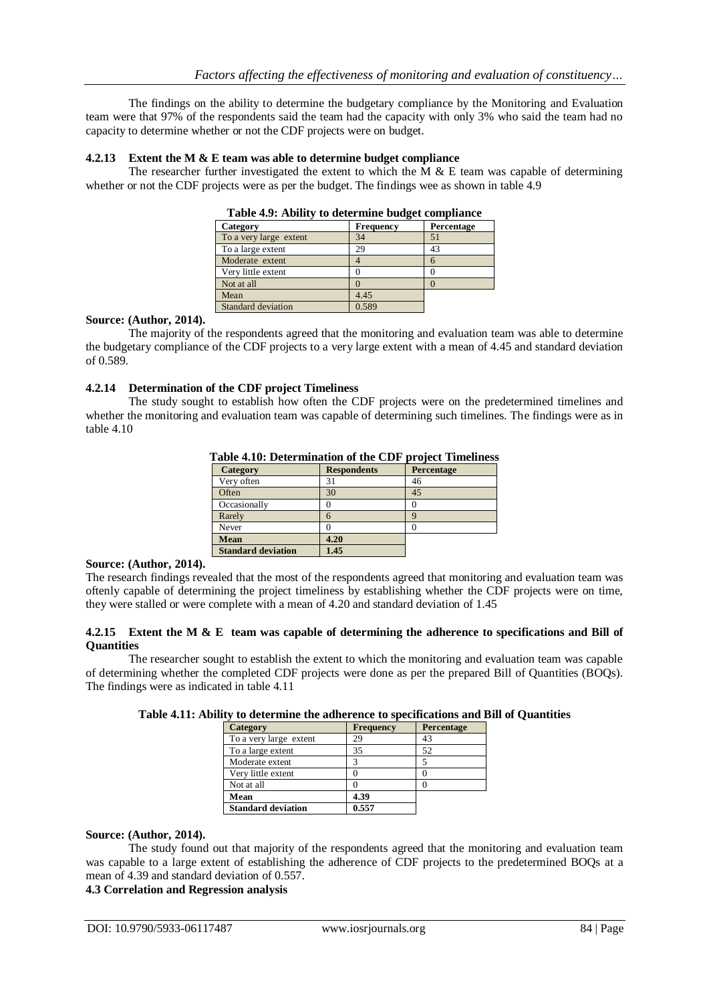The findings on the ability to determine the budgetary compliance by the Monitoring and Evaluation team were that 97% of the respondents said the team had the capacity with only 3% who said the team had no capacity to determine whether or not the CDF projects were on budget.

### **4.2.13 Extent the M & E team was able to determine budget compliance**

The researcher further investigated the extent to which the M  $\&$  E team was capable of determining whether or not the CDF projects were as per the budget. The findings wee as shown in table 4.9

| Category               | <b>Frequency</b> | Percentage |  |
|------------------------|------------------|------------|--|
| To a very large extent | 34               | 51         |  |
| To a large extent      | 29               | 43         |  |
| Moderate extent        |                  | h          |  |
| Very little extent     |                  |            |  |
| Not at all             |                  |            |  |
| Mean                   | 4.45             |            |  |
| Standard deviation     | 0.589            |            |  |

| Table 4.9: Ability to determine budget compliance |  |  |  |  |  |
|---------------------------------------------------|--|--|--|--|--|
|---------------------------------------------------|--|--|--|--|--|

### **Source: (Author, 2014).**

The majority of the respondents agreed that the monitoring and evaluation team was able to determine the budgetary compliance of the CDF projects to a very large extent with a mean of 4.45 and standard deviation of 0.589.

# **4.2.14 Determination of the CDF project Timeliness**

The study sought to establish how often the CDF projects were on the predetermined timelines and whether the monitoring and evaluation team was capable of determining such timelines. The findings were as in table 4.10

| 1 après 11191 <i>D</i> 'etti immation di the CDI<br>$P1$ or $C1$ and $C2$ and $C3$ and $C4$ |                    |            |  |  |  |
|---------------------------------------------------------------------------------------------|--------------------|------------|--|--|--|
| Category                                                                                    | <b>Respondents</b> | Percentage |  |  |  |
| Very often                                                                                  | 31                 | 46         |  |  |  |
| Often                                                                                       | 30                 | 45         |  |  |  |
| Occasionally                                                                                |                    |            |  |  |  |
| Rarely                                                                                      | 6                  | O          |  |  |  |
| Never                                                                                       |                    |            |  |  |  |
| Mean                                                                                        | 4.20               |            |  |  |  |
| <b>Standard deviation</b>                                                                   | .45                |            |  |  |  |

**Table 4.10: Determination of the CDF project Timeliness**

### **Source: (Author, 2014).**

The research findings revealed that the most of the respondents agreed that monitoring and evaluation team was oftenly capable of determining the project timeliness by establishing whether the CDF projects were on time, they were stalled or were complete with a mean of 4.20 and standard deviation of 1.45

### **4.2.15 Extent the M & E team was capable of determining the adherence to specifications and Bill of Quantities**

The researcher sought to establish the extent to which the monitoring and evaluation team was capable of determining whether the completed CDF projects were done as per the prepared Bill of Quantities (BOQs). The findings were as indicated in table 4.11

|  |  | Table 4.11: Ability to determine the adherence to specifications and Bill of Quantities |  |  |
|--|--|-----------------------------------------------------------------------------------------|--|--|
|--|--|-----------------------------------------------------------------------------------------|--|--|

| <b>Category</b>           | Frequency | <b>Percentage</b> |
|---------------------------|-----------|-------------------|
| To a very large extent    | 29        | 43                |
| To a large extent         | 35        | 52                |
| Moderate extent           | 3         |                   |
| Very little extent        |           |                   |
| Not at all                |           |                   |
| Mean                      | 4.39      |                   |
| <b>Standard deviation</b> | 0.557     |                   |

### **Source: (Author, 2014).**

The study found out that majority of the respondents agreed that the monitoring and evaluation team was capable to a large extent of establishing the adherence of CDF projects to the predetermined BOQs at a mean of 4.39 and standard deviation of 0.557.

# **4.3 Correlation and Regression analysis**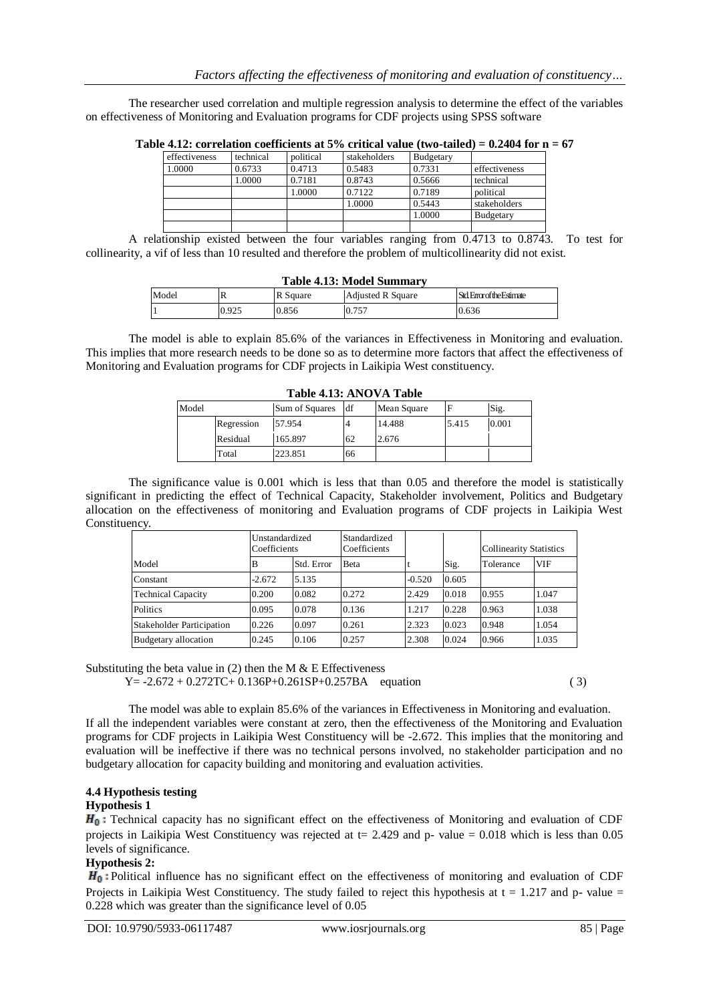The researcher used correlation and multiple regression analysis to determine the effect of the variables on effectiveness of Monitoring and Evaluation programs for CDF projects using SPSS software

|               |           |           |              |           | .                |
|---------------|-----------|-----------|--------------|-----------|------------------|
| effectiveness | technical | political | stakeholders | Budgetary |                  |
| 1.0000        | 0.6733    | 0.4713    | 0.5483       | 0.7331    | effectiveness    |
|               | 1.0000    | 0.7181    | 0.8743       | 0.5666    | technical        |
|               |           | 1.0000    | 0.7122       | 0.7189    | political        |
|               |           |           | 1.0000       | 0.5443    | stakeholders     |
|               |           |           |              | 1.0000    | <b>Budgetary</b> |
|               |           |           |              |           |                  |

Table 4.12: correlation coefficients at 5% critical value (two-tailed) =  $0.2404$  for  $n = 67$ 

A relationship existed between the four variables ranging from 0.4713 to 0.8743. To test for collinearity, a vif of less than 10 resulted and therefore the problem of multicollinearity did not exist.

| Table 4.13: Model Summary |       |          |                   |                            |  |
|---------------------------|-------|----------|-------------------|----------------------------|--|
| Model                     |       | R Square | Adiusted R Sauare | Std. Error of the Estimate |  |
|                           | 0.925 | 0.856    | 0.757             | 0.636                      |  |

The model is able to explain 85.6% of the variances in Effectiveness in Monitoring and evaluation. This implies that more research needs to be done so as to determine more factors that affect the effectiveness of Monitoring and Evaluation programs for CDF projects in Laikipia West constituency.

| Table 4.13. ARO VA Table |            |                |    |             |       |       |
|--------------------------|------------|----------------|----|-------------|-------|-------|
| Model                    |            | Sum of Squares | df | Mean Square |       | Sig.  |
|                          | Regression | 57.954         |    | 14.488      | 5.415 | 0.001 |
|                          | Residual   | 165.897        | 62 | 2.676       |       |       |
|                          | Total      | 223.851        | 66 |             |       |       |

# **Table 4.13: ANOVA Table**

The significance value is 0.001 which is less that than 0.05 and therefore the model is statistically significant in predicting the effect of Technical Capacity, Stakeholder involvement, Politics and Budgetary allocation on the effectiveness of monitoring and Evaluation programs of CDF projects in Laikipia West Constituency.

|                                  | Unstandardized<br>Coefficients |            | Standardized<br>Coefficients |          |       | <b>Collinearity Statistics</b> |            |
|----------------------------------|--------------------------------|------------|------------------------------|----------|-------|--------------------------------|------------|
| Model                            | B                              | Std. Error | <b>B</b> eta                 |          | Sig.  | Tolerance                      | <b>VIF</b> |
| Constant                         | $-2.672$                       | 5.135      |                              | $-0.520$ | 0.605 |                                |            |
| <b>Technical Capacity</b>        | 0.200                          | 0.082      | 0.272                        | 2.429    | 0.018 | 0.955                          | 1.047      |
| Politics                         | 0.095                          | 0.078      | 0.136                        | 1.217    | 0.228 | 0.963                          | 1.038      |
| <b>Stakeholder Participation</b> | 0.226                          | 0.097      | 0.261                        | 2.323    | 0.023 | 0.948                          | 1.054      |
| Budgetary allocation             | 0.245                          | 0.106      | 0.257                        | 2.308    | 0.024 | 0.966                          | 1.035      |

Substituting the beta value in  $(2)$  then the M & E Effectiveness  $Y = -2.672 + 0.272TC + 0.136P + 0.261SP + 0.257BA$  equation (3)

The model was able to explain 85.6% of the variances in Effectiveness in Monitoring and evaluation. If all the independent variables were constant at zero, then the effectiveness of the Monitoring and Evaluation programs for CDF projects in Laikipia West Constituency will be -2.672. This implies that the monitoring and evaluation will be ineffective if there was no technical persons involved, no stakeholder participation and no budgetary allocation for capacity building and monitoring and evaluation activities.

# **4.4 Hypothesis testing**

# **Hypothesis 1**

 $H_0$ : Technical capacity has no significant effect on the effectiveness of Monitoring and evaluation of CDF projects in Laikipia West Constituency was rejected at  $t = 2.429$  and p- value = 0.018 which is less than 0.05 levels of significance.

# **Hypothesis 2:**

 $H_0$ : Political influence has no significant effect on the effectiveness of monitoring and evaluation of CDF Projects in Laikipia West Constituency. The study failed to reject this hypothesis at  $t = 1.217$  and p- value = 0.228 which was greater than the significance level of 0.05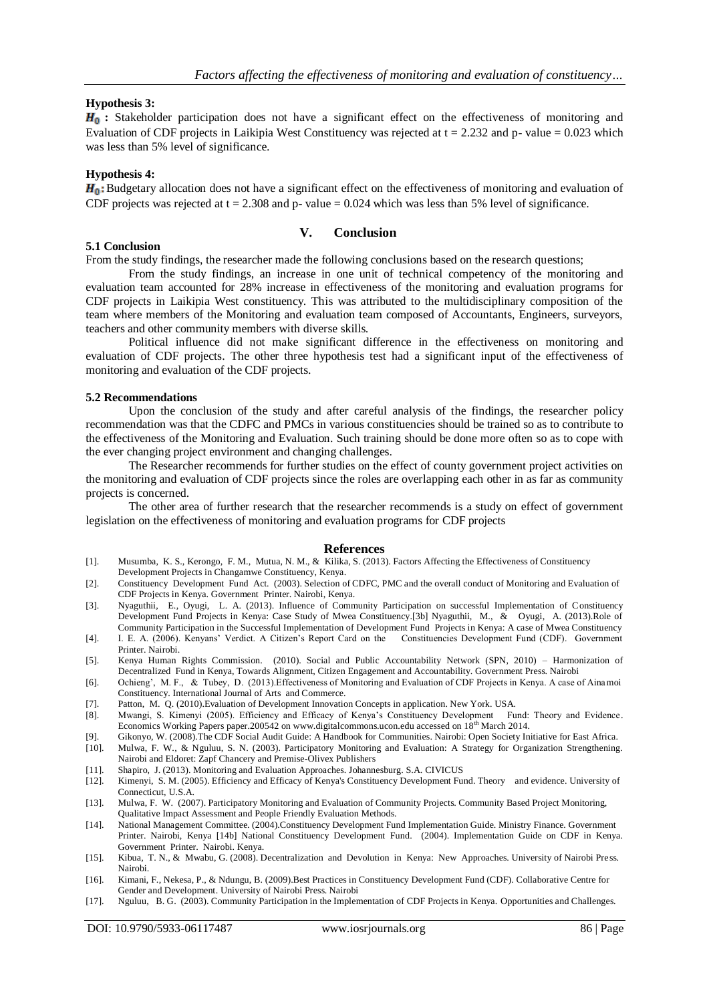### **Hypothesis 3:**

 $H_0$ **:** Stakeholder participation does not have a significant effect on the effectiveness of monitoring and Evaluation of CDF projects in Laikipia West Constituency was rejected at  $t = 2.232$  and p- value = 0.023 which was less than 5% level of significance.

### **Hypothesis 4:**

H<sub>0</sub>: Budgetary allocation does not have a significant effect on the effectiveness of monitoring and evaluation of CDF projects was rejected at  $t = 2.308$  and p- value = 0.024 which was less than 5% level of significance.

### **V. Conclusion**

### **5.1 Conclusion**

From the study findings, the researcher made the following conclusions based on the research questions;

From the study findings, an increase in one unit of technical competency of the monitoring and evaluation team accounted for 28% increase in effectiveness of the monitoring and evaluation programs for CDF projects in Laikipia West constituency. This was attributed to the multidisciplinary composition of the team where members of the Monitoring and evaluation team composed of Accountants, Engineers, surveyors, teachers and other community members with diverse skills.

Political influence did not make significant difference in the effectiveness on monitoring and evaluation of CDF projects. The other three hypothesis test had a significant input of the effectiveness of monitoring and evaluation of the CDF projects.

### **5.2 Recommendations**

Upon the conclusion of the study and after careful analysis of the findings, the researcher policy recommendation was that the CDFC and PMCs in various constituencies should be trained so as to contribute to the effectiveness of the Monitoring and Evaluation. Such training should be done more often so as to cope with the ever changing project environment and changing challenges.

The Researcher recommends for further studies on the effect of county government project activities on the monitoring and evaluation of CDF projects since the roles are overlapping each other in as far as community projects is concerned.

The other area of further research that the researcher recommends is a study on effect of government legislation on the effectiveness of monitoring and evaluation programs for CDF projects

#### **References**

- [1]. Musumba, K. S., Kerongo, F. M., Mutua, N. M., & Kilika, S. (2013). Factors Affecting the Effectiveness of Constituency Development Projects in Changamwe Constituency, Kenya.
- [2]. Constituency Development Fund Act. (2003). Selection of CDFC, PMC and the overall conduct of Monitoring and Evaluation of CDF Projects in Kenya. Government Printer. Nairobi, Kenya.
- [3]. Nyaguthii, E., Oyugi, L. A. (2013). Influence of Community Participation on successful Implementation of Constituency Development Fund Projects in Kenya: Case Study of Mwea Constituency.[3b] Nyaguthii, M., & Oyugi, A. (2013).Role of
- Community Participation in the Successful Implementation of Development Fund Projects in Kenya: A case of Mwea Constituency I. E. A. (2006). Kenyans' Verdict. A Citizen's Report Card on the Constituencies Development Fund [4]. I. E. A. (2006). Kenyans' Verdict. A Citizen's Report Card on the Printer. Nairobi.
- [5]. Kenya Human Rights Commission. (2010). Social and Public Accountability Network (SPN, 2010) Harmonization of Decentralized Fund in Kenya, Towards Alignment, Citizen Engagement and Accountability. Government Press. Nairobi
- [6]. Ochieng', M. F., & Tubey, D. (2013).Effectiveness of Monitoring and Evaluation of CDF Projects in Kenya. A case of Ainamoi Constituency. International Journal of Arts and Commerce.
- [7]. Patton, M. Q. (2010).Evaluation of Development Innovation Concepts in application. New York. USA.
- [8]. Mwangi, S. Kimenyi (2005). Efficiency and Efficacy of Kenya's Constituency Development Fund: Theory and Evidence. Economics Working Papers paper.200542 on www.digitalcommons.ucon.edu accessed on 18th March 2014.
- [9]. Gikonyo, W. (2008).The CDF Social Audit Guide: A Handbook for Communities. Nairobi: Open Society Initiative for East Africa. [10]. Mulwa, F. W., & Nguluu, S. N. (2003). Participatory Monitoring and Evaluation: A Strategy for Organization Strengthening. Nairobi and Eldoret: Zapf Chancery and Premise-Olivex Publishers
- [11]. Shapiro, J. (2013). Monitoring and Evaluation Approaches. Johannesburg. S.A. CIVICUS
- [12]. Kimenyi, S. M. (2005). Efficiency and Efficacy of Kenya's Constituency Development Fund. Theory and evidence. University of Connecticut, U.S.A.
- [13]. Mulwa, F. W. (2007). Participatory Monitoring and Evaluation of Community Projects. Community Based Project Monitoring, Qualitative Impact Assessment and People Friendly Evaluation Methods.
- [14]. National Management Committee. (2004).Constituency Development Fund Implementation Guide. Ministry Finance. Government Printer. Nairobi, Kenya [14b] National Constituency Development Fund. (2004). Implementation Guide on CDF in Kenya. Government Printer. Nairobi. Kenya.
- [15]. Kibua, T. N., & Mwabu, G. (2008). Decentralization and Devolution in Kenya: New Approaches. University of Nairobi Press. Nairobi.
- [16]. Kimani, F., Nekesa, P., & Ndungu, B. (2009).Best Practices in Constituency Development Fund (CDF). Collaborative Centre for Gender and Development. University of Nairobi Press. Nairobi
- [17]. Nguluu, B. G. (2003). Community Participation in the Implementation of CDF Projects in Kenya. Opportunities and Challenges.